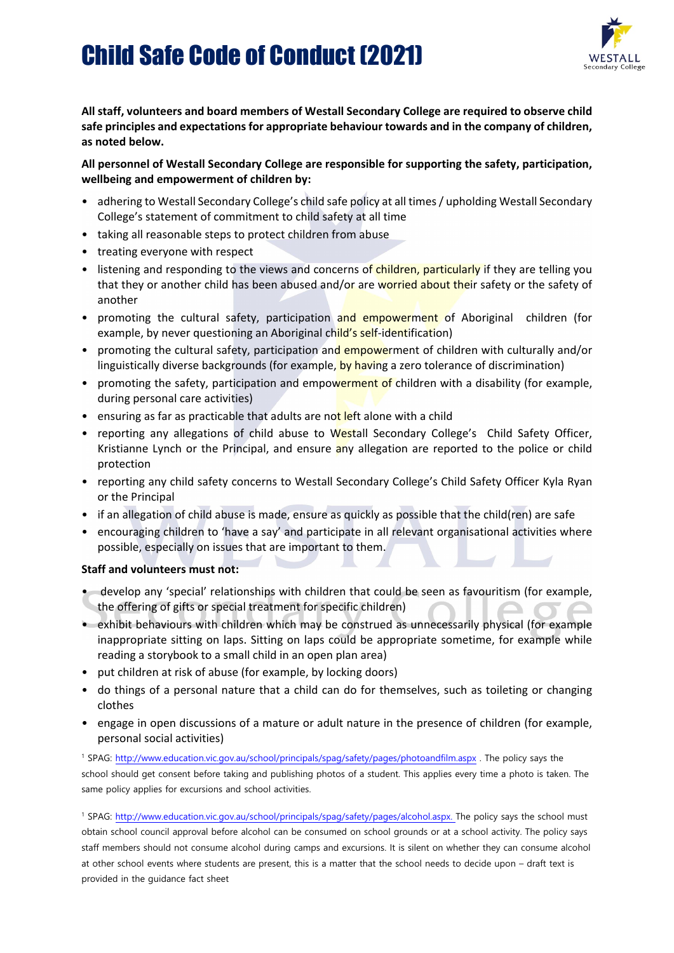### Child Safe Code of Conduct (2021)



**All staff, volunteers and board members of Westall Secondary College are required to observe child safe principles and expectations for appropriate behaviour towards and in the company of children, as noted below.**

#### **All personnel of Westall Secondary College are responsible for supporting the safety, participation, wellbeing and empowerment of children by:**

- adhering to Westall Secondary College's child safe policy at all times / upholding Westall Secondary College's statement of commitment to child safety at all time
- taking all reasonable steps to protect children from abuse
- treating everyone with respect
- listening and responding to the views and concerns of children, particularly if they are telling you that they or another child has been abused and/or are worried about their safety or the safety of another
- promoting the cultural safety, participation and empowerment of Aboriginal children (for example, by never questioning an Aboriginal child's self-identification)
- promoting the cultural safety, participation and empowerment of children with culturally and/or linguistically diverse backgrounds (for example, by having a zero tolerance of discrimination)
- promoting the safety, participation and empowerment of children with a disability (for example, during personal care activities)
- ensuring as far as practicable that adults are not left alone with a child
- reporting any allegations of child abuse to Westall Secondary College's Child Safety Officer, Kristianne Lynch or the Principal, and ensure any allegation are reported to the police or child protection
- reporting any child safety concerns to Westall Secondary College's Child Safety Officer Kyla Ryan or the Principal
- if an allegation of child abuse is made, ensure as quickly as possible that the child(ren) are safe
- encouraging children to 'have a say' and participate in all relevant organisational activities where possible, especially on issues that are important to them.

#### **Staff and volunteers must not:**

- develop any 'special' relationships with children that could be seen as favouritism (for example, the offering of gifts or special treatment for specific children)
- exhibit behaviours with children which may be construed as unnecessarily physical (for example inappropriate sitting on laps. Sitting on laps could be appropriate sometime, for example while reading a storybook to a small child in an open plan area)
- put children at risk of abuse (for example, by locking doors)
- do things of a personal nature that a child can do for themselves, such as toileting or changing clothes
- engage in open discussions of a mature or adult nature in the presence of children (for example, personal social activities)

<sup>1</sup> SPAG:<http://www.education.vic.gov.au/school/principals/spag/safety/pages/photoandfilm.aspx> . The policy says the school should get consent before taking and publishing photos of a student. This applies every time a photo is taken. The same policy applies for excursions and school activities.

<sup>1</sup> SPAG: [http://www.education.vic.gov.au/school/principals/spag/safety/pages/alcohol.aspx.](http://www.education.vic.gov.au/school/principals/spag/safety/pages/alcohol.aspx) The policy says the school must obtain school council approval before alcohol can be consumed on school grounds or at a school activity. The policy says staff members should not consume alcohol during camps and excursions. It is silent on whether they can consume alcohol at other school events where students are present, this is a matter that the school needs to decide upon – draft text is provided in the guidance fact sheet